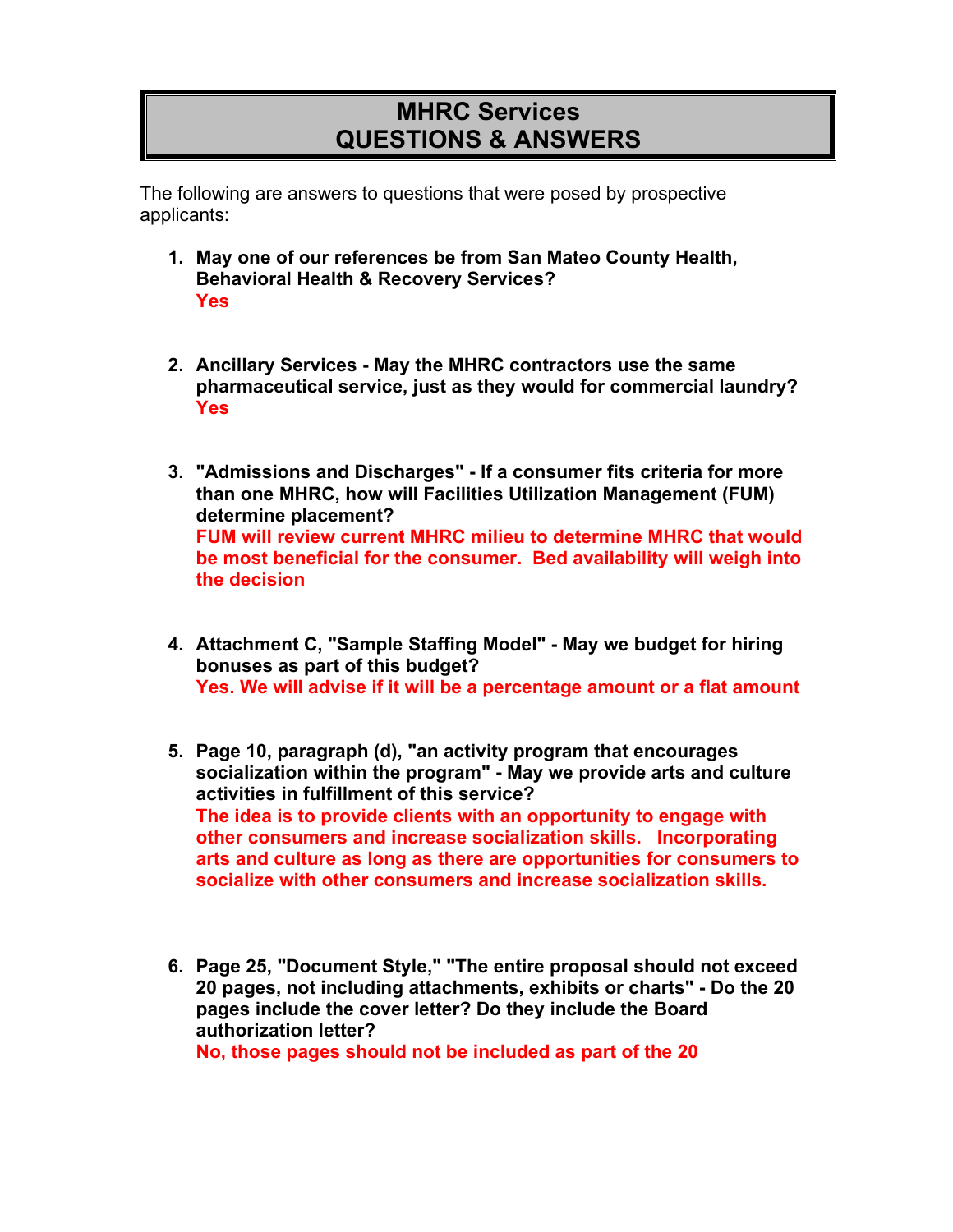## **MHRC Services QUESTIONS & ANSWERS**

The following are answers to questions that were posed by prospective applicants:

- **1. May one of our references be from San Mateo County Health, Behavioral Health & Recovery Services? Yes**
- **2. Ancillary Services - May the MHRC contractors use the same pharmaceutical service, just as they would for commercial laundry? Yes**
- **3. "Admissions and Discharges" - If a consumer fits criteria for more than one MHRC, how will Facilities Utilization Management (FUM) determine placement? FUM will review current MHRC milieu to determine MHRC that would be most beneficial for the consumer. Bed availability will weigh into the decision**
- **4. Attachment C, "Sample Staffing Model" - May we budget for hiring bonuses as part of this budget? Yes. We will advise if it will be a percentage amount or a flat amount**
- **5. Page 10, paragraph (d), "an activity program that encourages socialization within the program" - May we provide arts and culture activities in fulfillment of this service? The idea is to provide clients with an opportunity to engage with other consumers and increase socialization skills. Incorporating arts and culture as long as there are opportunities for consumers to socialize with other consumers and increase socialization skills.**
- **6. Page 25, "Document Style," "The entire proposal should not exceed 20 pages, not including attachments, exhibits or charts" - Do the 20 pages include the cover letter? Do they include the Board authorization letter?**

**No, those pages should not be included as part of the 20**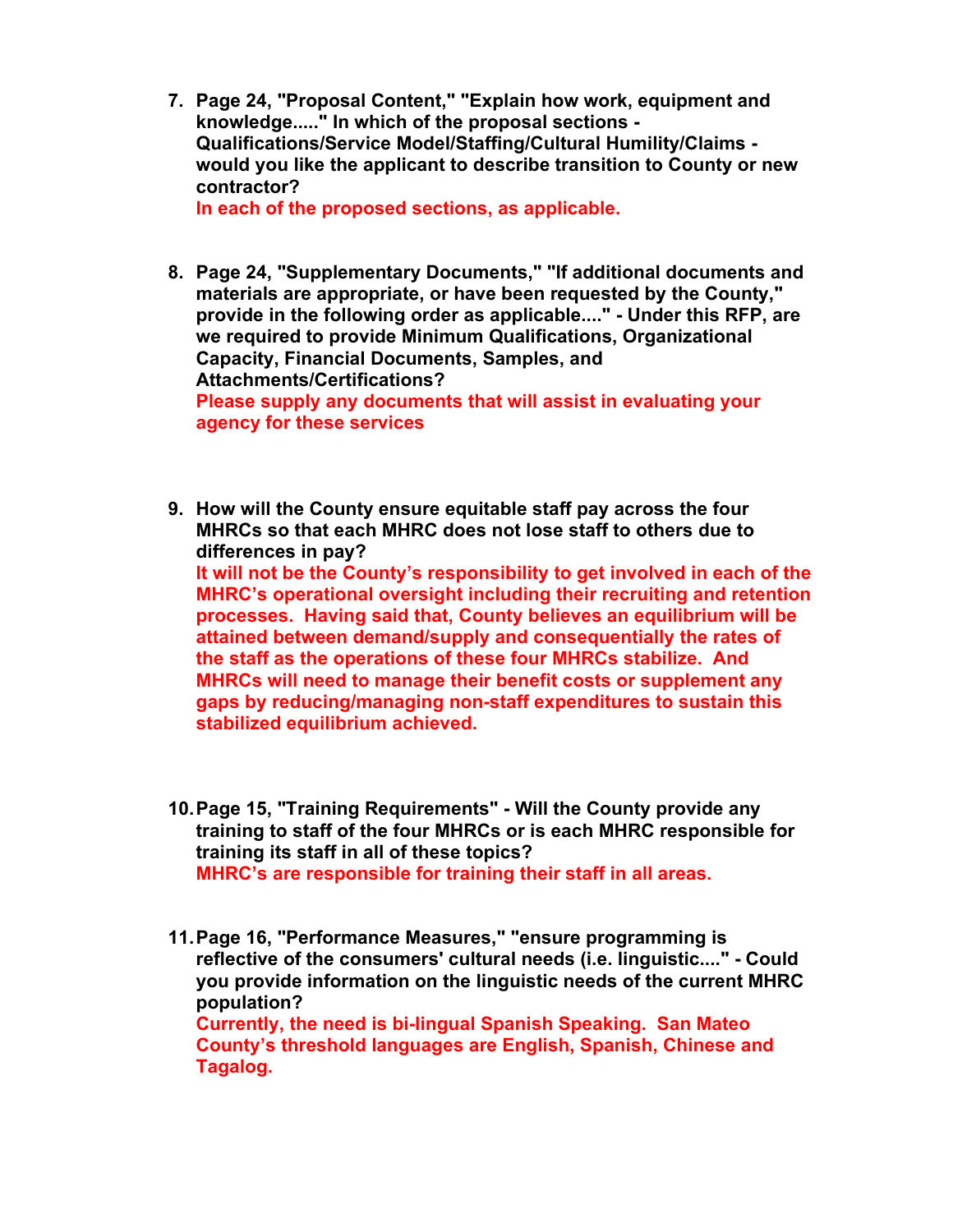**7. Page 24, "Proposal Content," "Explain how work, equipment and knowledge....." In which of the proposal sections - Qualifications/Service Model/Staffing/Cultural Humility/Claims would you like the applicant to describe transition to County or new contractor? In each of the proposed sections, as applicable.**

**8. Page 24, "Supplementary Documents," "If additional documents and materials are appropriate, or have been requested by the County," provide in the following order as applicable...." - Under this RFP, are we required to provide Minimum Qualifications, Organizational Capacity, Financial Documents, Samples, and Attachments/Certifications? Please supply any documents that will assist in evaluating your agency for these services**

**9. How will the County ensure equitable staff pay across the four MHRCs so that each MHRC does not lose staff to others due to differences in pay?**

**It will not be the County's responsibility to get involved in each of the MHRC's operational oversight including their recruiting and retention processes. Having said that, County believes an equilibrium will be attained between demand/supply and consequentially the rates of the staff as the operations of these four MHRCs stabilize. And MHRCs will need to manage their benefit costs or supplement any gaps by reducing/managing non-staff expenditures to sustain this stabilized equilibrium achieved.** 

- **10.Page 15, "Training Requirements" - Will the County provide any training to staff of the four MHRCs or is each MHRC responsible for training its staff in all of these topics? MHRC's are responsible for training their staff in all areas.**
- **11.Page 16, "Performance Measures," "ensure programming is reflective of the consumers' cultural needs (i.e. linguistic...." - Could you provide information on the linguistic needs of the current MHRC population? Currently, the need is bi-lingual Spanish Speaking. San Mateo County's threshold languages are English, Spanish, Chinese and**

**Tagalog.**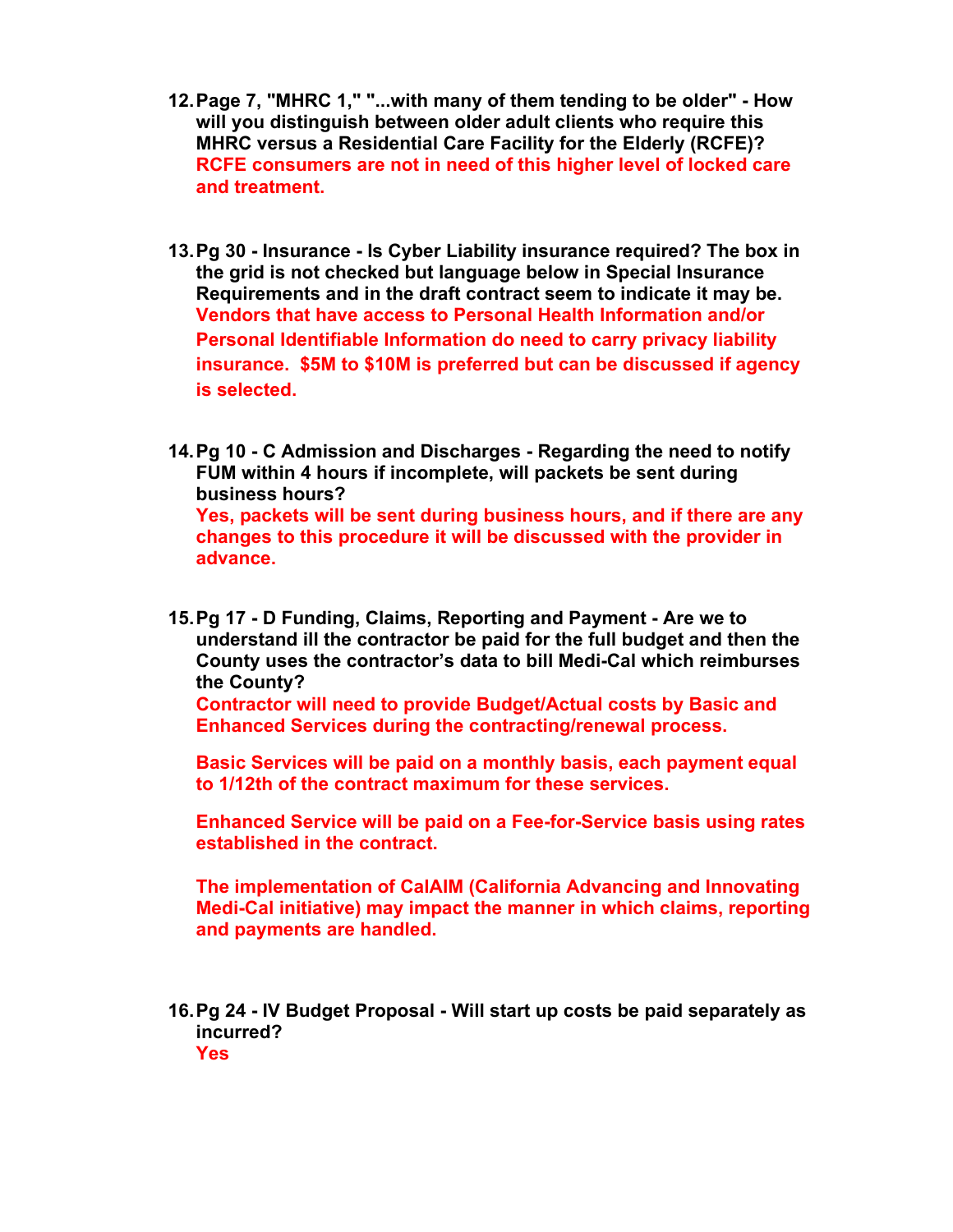- **12.Page 7, "MHRC 1," "...with many of them tending to be older" - How will you distinguish between older adult clients who require this MHRC versus a Residential Care Facility for the Elderly (RCFE)? RCFE consumers are not in need of this higher level of locked care and treatment.**
- **13.Pg 30 - Insurance - Is Cyber Liability insurance required? The box in the grid is not checked but language below in Special Insurance Requirements and in the draft contract seem to indicate it may be. Vendors that have access to Personal Health Information and/or Personal Identifiable Information do need to carry privacy liability insurance. \$5M to \$10M is preferred but can be discussed if agency is selected.**
- **14.Pg 10 - C Admission and Discharges - Regarding the need to notify FUM within 4 hours if incomplete, will packets be sent during business hours? Yes, packets will be sent during business hours, and if there are any changes to this procedure it will be discussed with the provider in advance.**
- **15.Pg 17 - D Funding, Claims, Reporting and Payment - Are we to understand ill the contractor be paid for the full budget and then the County uses the contractor's data to bill Medi-Cal which reimburses the County?**

**Contractor will need to provide Budget/Actual costs by Basic and Enhanced Services during the contracting/renewal process.**

**Basic Services will be paid on a monthly basis, each payment equal to 1/12th of the contract maximum for these services.**

**Enhanced Service will be paid on a Fee-for-Service basis using rates established in the contract.**

**The implementation of CalAIM (California Advancing and Innovating Medi-Cal initiative) may impact the manner in which claims, reporting and payments are handled.**

**16.Pg 24 - IV Budget Proposal - Will start up costs be paid separately as incurred? Yes**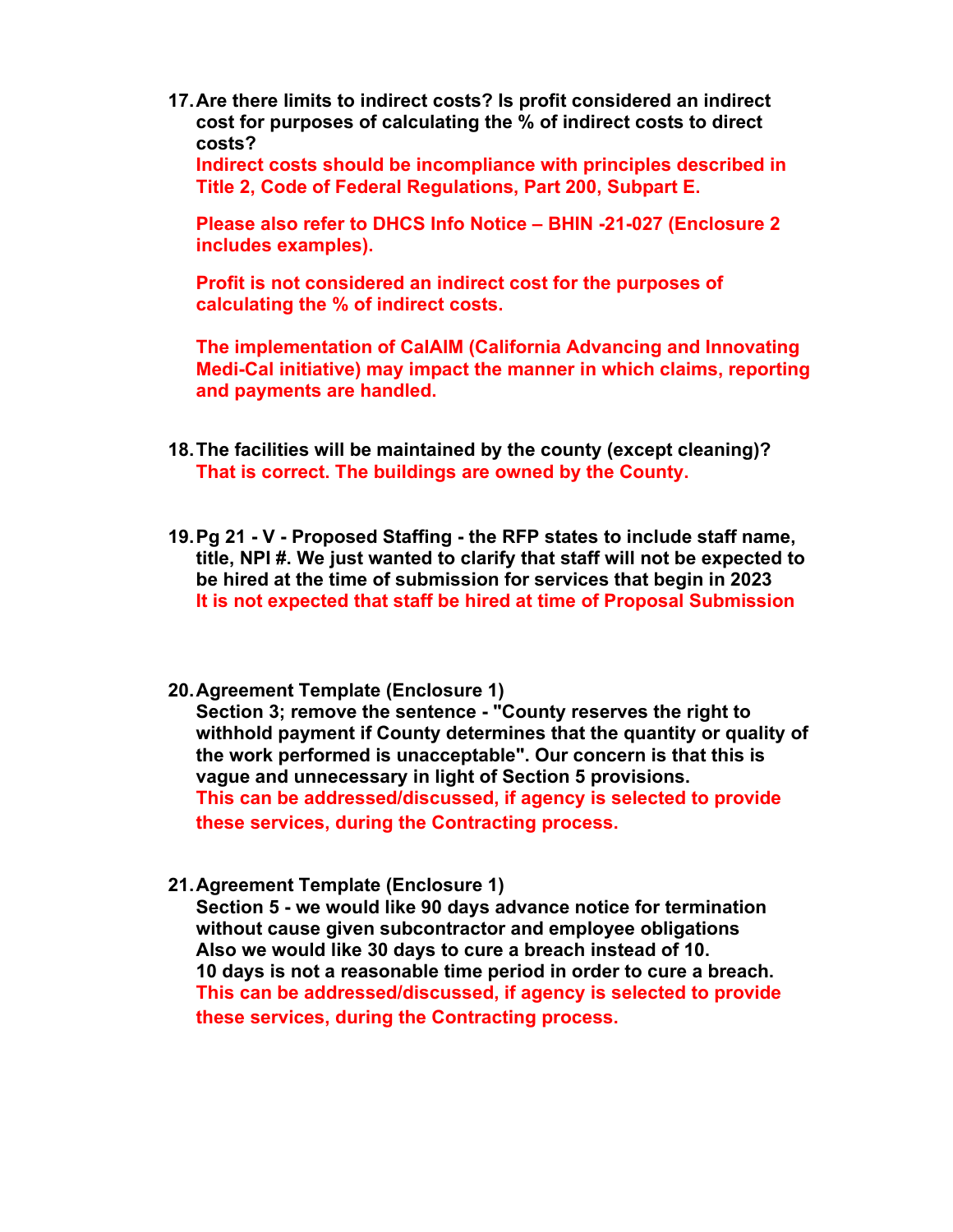**17.Are there limits to indirect costs? Is profit considered an indirect cost for purposes of calculating the % of indirect costs to direct costs?**

**Indirect costs should be incompliance with principles described in Title 2, Code of Federal Regulations, Part 200, Subpart E.**

**Please also refer to DHCS Info Notice – BHIN -21-027 (Enclosure 2 includes examples).**

**Profit is not considered an indirect cost for the purposes of calculating the % of indirect costs.**

**The implementation of CalAIM (California Advancing and Innovating Medi-Cal initiative) may impact the manner in which claims, reporting and payments are handled.**

- **18.The facilities will be maintained by the county (except cleaning)? That is correct. The buildings are owned by the County.**
- **19.Pg 21 - V - Proposed Staffing - the RFP states to include staff name, title, NPI #. We just wanted to clarify that staff will not be expected to be hired at the time of submission for services that begin in 2023 It is not expected that staff be hired at time of Proposal Submission**
- **20.Agreement Template (Enclosure 1)**

**Section 3; remove the sentence - "County reserves the right to withhold payment if County determines that the quantity or quality of the work performed is unacceptable". Our concern is that this is vague and unnecessary in light of Section 5 provisions. This can be addressed/discussed, if agency is selected to provide these services, during the Contracting process.**

**21.Agreement Template (Enclosure 1)**

**Section 5 - we would like 90 days advance notice for termination without cause given subcontractor and employee obligations Also we would like 30 days to cure a breach instead of 10. 10 days is not a reasonable time period in order to cure a breach. This can be addressed/discussed, if agency is selected to provide these services, during the Contracting process.**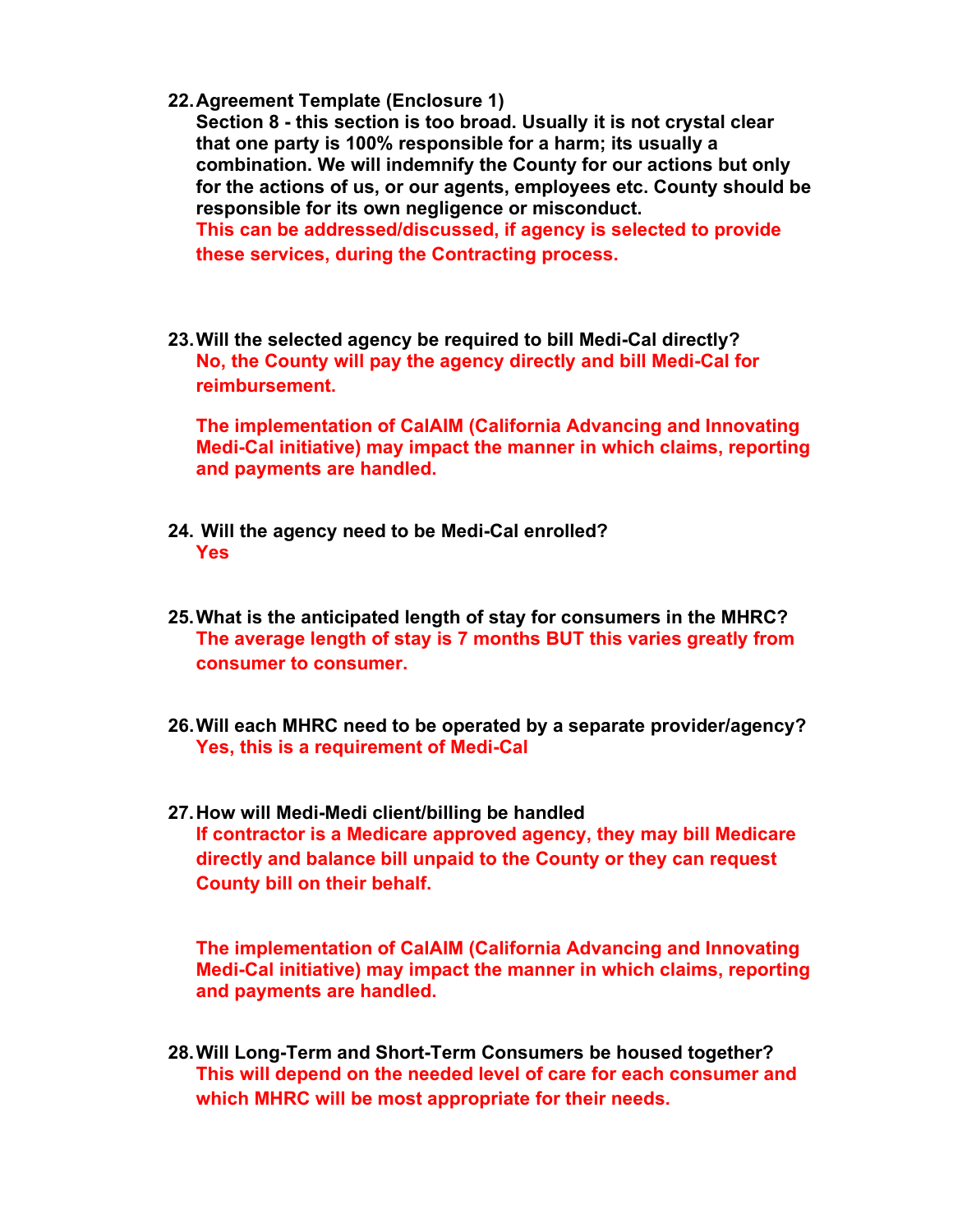**22.Agreement Template (Enclosure 1)**

**Section 8 - this section is too broad. Usually it is not crystal clear that one party is 100% responsible for a harm; its usually a combination. We will indemnify the County for our actions but only for the actions of us, or our agents, employees etc. County should be responsible for its own negligence or misconduct. This can be addressed/discussed, if agency is selected to provide these services, during the Contracting process.** 

**23.Will the selected agency be required to bill Medi-Cal directly? No, the County will pay the agency directly and bill Medi-Cal for reimbursement.**

**The implementation of CalAIM (California Advancing and Innovating Medi-Cal initiative) may impact the manner in which claims, reporting and payments are handled.**

- **24. Will the agency need to be Medi-Cal enrolled? Yes**
- **25.What is the anticipated length of stay for consumers in the MHRC? The average length of stay is 7 months BUT this varies greatly from consumer to consumer.**
- **26.Will each MHRC need to be operated by a separate provider/agency? Yes, this is a requirement of Medi-Cal**
- **27.How will Medi-Medi client/billing be handled If contractor is a Medicare approved agency, they may bill Medicare directly and balance bill unpaid to the County or they can request County bill on their behalf.**

**The implementation of CalAIM (California Advancing and Innovating Medi-Cal initiative) may impact the manner in which claims, reporting and payments are handled.**

**28.Will Long-Term and Short-Term Consumers be housed together? This will depend on the needed level of care for each consumer and which MHRC will be most appropriate for their needs.**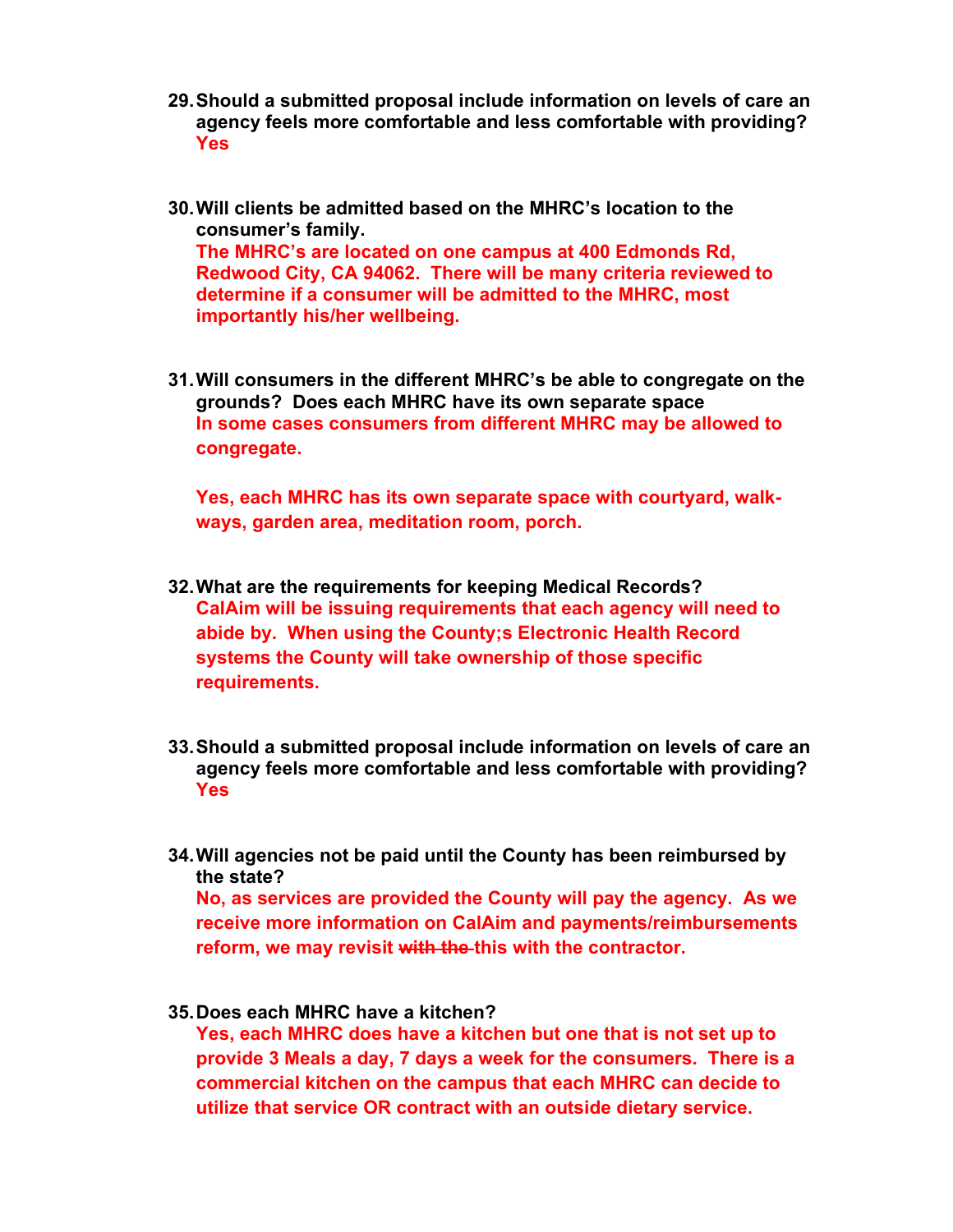- **29.Should a submitted proposal include information on levels of care an agency feels more comfortable and less comfortable with providing? Yes**
- **30.Will clients be admitted based on the MHRC's location to the consumer's family. The MHRC's are located on one campus at 400 Edmonds Rd, Redwood City, CA 94062. There will be many criteria reviewed to determine if a consumer will be admitted to the MHRC, most importantly his/her wellbeing.**
- **31.Will consumers in the different MHRC's be able to congregate on the grounds? Does each MHRC have its own separate space In some cases consumers from different MHRC may be allowed to congregate.**

**Yes, each MHRC has its own separate space with courtyard, walkways, garden area, meditation room, porch.** 

- **32.What are the requirements for keeping Medical Records? CalAim will be issuing requirements that each agency will need to abide by. When using the County;s Electronic Health Record systems the County will take ownership of those specific requirements.**
- **33.Should a submitted proposal include information on levels of care an agency feels more comfortable and less comfortable with providing? Yes**
- **34.Will agencies not be paid until the County has been reimbursed by the state?**

**No, as services are provided the County will pay the agency. As we receive more information on CalAim and payments/reimbursements reform, we may revisit with the this with the contractor.** 

## **35.Does each MHRC have a kitchen?**

**Yes, each MHRC does have a kitchen but one that is not set up to provide 3 Meals a day, 7 days a week for the consumers. There is a commercial kitchen on the campus that each MHRC can decide to utilize that service OR contract with an outside dietary service.**